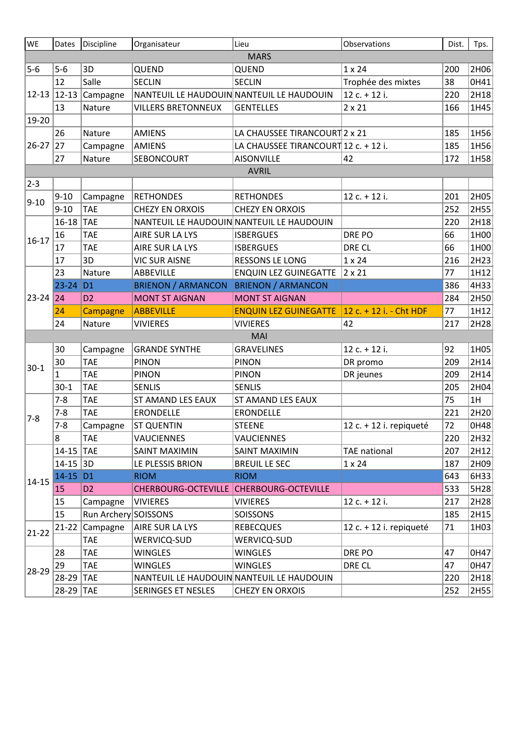| WE            | Dates        | Discipline           | Organisateur              | Lieu                                      | Observations            | Dist. | Tps. |  |  |  |  |  |  |
|---------------|--------------|----------------------|---------------------------|-------------------------------------------|-------------------------|-------|------|--|--|--|--|--|--|
| <b>MARS</b>   |              |                      |                           |                                           |                         |       |      |  |  |  |  |  |  |
| $5-6$         | $5-6$        | 3D                   | QUEND                     | QUEND                                     | $1 \times 24$           | 200   | 2H06 |  |  |  |  |  |  |
|               | 12           | Salle                | <b>SECLIN</b>             | <b>SECLIN</b>                             | Trophée des mixtes      | 38    | 0H41 |  |  |  |  |  |  |
| $12-13$ 12-13 |              | Campagne             |                           | NANTEUIL LE HAUDOUIN NANTEUIL LE HAUDOUIN | 12 c. + 12 i.           | 220   | 2H18 |  |  |  |  |  |  |
|               | 13           | Nature               | <b>VILLERS BRETONNEUX</b> | <b>GENTELLES</b>                          | $2 \times 21$           | 166   | 1H45 |  |  |  |  |  |  |
| 19-20         |              |                      |                           |                                           |                         |       |      |  |  |  |  |  |  |
|               | 26           | Nature               | <b>AMIENS</b>             | LA CHAUSSEE TIRANCOURT 2 x 21             |                         | 185   | 1H56 |  |  |  |  |  |  |
| $26 - 27$     | 27           | Campagne             | <b>AMIENS</b>             | LA CHAUSSEE TIRANCOURT 12 c. + 12 i.      |                         | 185   | 1H56 |  |  |  |  |  |  |
|               | 27           | Nature               | SEBONCOURT                | <b>AISONVILLE</b>                         | 42                      | 172   | 1H58 |  |  |  |  |  |  |
| <b>AVRIL</b>  |              |                      |                           |                                           |                         |       |      |  |  |  |  |  |  |
| $2 - 3$       |              |                      |                           |                                           |                         |       |      |  |  |  |  |  |  |
| $9 - 10$      | $9 - 10$     | Campagne             | <b>RETHONDES</b>          | <b>RETHONDES</b>                          | 12 c. + 12 i.           | 201   | 2H05 |  |  |  |  |  |  |
|               | $9 - 10$     | <b>TAE</b>           | <b>CHEZY EN ORXOIS</b>    | <b>CHEZY EN ORXOIS</b>                    |                         | 252   | 2H55 |  |  |  |  |  |  |
|               | $16 - 18$    | <b>TAE</b>           |                           | NANTEUIL LE HAUDOUIN NANTEUIL LE HAUDOUIN |                         | 220   | 2H18 |  |  |  |  |  |  |
| $16 - 17$     | 16           | <b>TAE</b>           | AIRE SUR LA LYS           | <b>ISBERGUES</b>                          | DRE PO                  | 66    | 1H00 |  |  |  |  |  |  |
|               | 17           | <b>TAE</b>           | AIRE SUR LA LYS           | <b>ISBERGUES</b>                          | DRE CL                  | 66    | 1H00 |  |  |  |  |  |  |
|               | 17           | 3D                   | <b>VIC SUR AISNE</b>      | <b>RESSONS LE LONG</b>                    | $1 \times 24$           | 216   | 2H23 |  |  |  |  |  |  |
|               | 23           | Nature               | ABBEVILLE                 | <b>ENQUIN LEZ GUINEGATTE</b>              | $2 \times 21$           | 77    | 1H12 |  |  |  |  |  |  |
|               | $23 - 24$ D1 |                      | <b>BRIENON / ARMANCON</b> | <b>BRIENON / ARMANCON</b>                 |                         | 386   | 4H33 |  |  |  |  |  |  |
| $23 - 24$ 24  |              | D <sub>2</sub>       | <b>MONT ST AIGNAN</b>     | <b>MONT ST AIGNAN</b>                     |                         | 284   | 2H50 |  |  |  |  |  |  |
|               | 24           | Campagne             | <b>ABBEVILLE</b>          | <b>ENQUIN LEZ GUINEGATTE</b>              | 12 c. + 12 i. - Cht HDF | 77    | 1H12 |  |  |  |  |  |  |
|               | 24           | Nature               | <b>VIVIERES</b>           | <b>VIVIERES</b>                           | 42                      | 217   | 2H28 |  |  |  |  |  |  |
|               |              |                      |                           | <b>MAI</b>                                |                         |       |      |  |  |  |  |  |  |
|               | 30           | Campagne             | <b>GRANDE SYNTHE</b>      | <b>GRAVELINES</b>                         | 12 c. + 12 i.           | 92    | 1H05 |  |  |  |  |  |  |
| $30 - 1$      | 30           | <b>TAE</b>           | <b>PINON</b>              | <b>PINON</b>                              | DR promo                | 209   | 2H14 |  |  |  |  |  |  |
|               | $\mathbf{1}$ | <b>TAE</b>           | <b>PINON</b>              | <b>PINON</b>                              | DR jeunes               | 209   | 2H14 |  |  |  |  |  |  |
|               | $30-1$       | <b>TAE</b>           | <b>SENLIS</b>             | <b>SENLIS</b>                             |                         | 205   | 2H04 |  |  |  |  |  |  |
|               | $7 - 8$      | <b>TAE</b>           | ST AMAND LES EAUX         | ST AMAND LES EAUX                         |                         | 75    | 1H   |  |  |  |  |  |  |
| $7 - 8$       | $7 - 8$      | <b>TAE</b>           | <b>ERONDELLE</b>          | <b>ERONDELLE</b>                          |                         | 221   | 2H20 |  |  |  |  |  |  |
|               | $7 - 8$      | Campagne             | <b>ST QUENTIN</b>         | <b>STEENE</b>                             | 12 c. + 12 i. repiqueté | 72    | OH48 |  |  |  |  |  |  |
|               | 8            | <b>TAE</b>           | <b>VAUCIENNES</b>         | <b>VAUCIENNES</b>                         |                         | 220   | 2H32 |  |  |  |  |  |  |
|               | 14-15 TAE    |                      | SAINT MAXIMIN             | SAINT MAXIMIN                             | <b>TAE national</b>     | 207   | 2H12 |  |  |  |  |  |  |
|               | $14 - 15$ 3D |                      | LE PLESSIS BRION          | <b>BREUIL LE SEC</b>                      | $1 \times 24$           | 187   | 2H09 |  |  |  |  |  |  |
| $14 - 15$     | $14-15$ D1   |                      | <b>RIOM</b>               | <b>RIOM</b>                               |                         | 643   | 6H33 |  |  |  |  |  |  |
|               | 15           | D <sub>2</sub>       | CHERBOURG-OCTEVILLE       | CHERBOURG-OCTEVILLE                       |                         | 533   | 5H28 |  |  |  |  |  |  |
|               | 15           | Campagne             | VIVIERES                  | <b>VIVIERES</b>                           | 12 c. + 12 i.           | 217   | 2H28 |  |  |  |  |  |  |
|               | 15           | Run Archery SOISSONS |                           | SOISSONS                                  |                         | 185   | 2H15 |  |  |  |  |  |  |
| $21 - 22$     |              | 21-22 Campagne       | AIRE SUR LA LYS           | <b>REBECQUES</b>                          | 12 c. + 12 i. repiqueté | 71    | 1H03 |  |  |  |  |  |  |
|               |              | <b>TAE</b>           | <b>WERVICQ-SUD</b>        | <b>WERVICQ-SUD</b>                        |                         |       |      |  |  |  |  |  |  |
|               | 28           | <b>TAE</b>           | <b>WINGLES</b>            | <b>WINGLES</b>                            | DRE PO                  | 47    | 0H47 |  |  |  |  |  |  |
| 28-29         | 29           | <b>TAE</b>           | <b>WINGLES</b>            | <b>WINGLES</b>                            | DRE CL                  | 47    | 0H47 |  |  |  |  |  |  |
|               | 28-29 TAE    |                      |                           | NANTEUIL LE HAUDOUIN NANTEUIL LE HAUDOUIN |                         | 220   | 2H18 |  |  |  |  |  |  |
|               | 28-29 TAE    |                      | SERINGES ET NESLES        | CHEZY EN ORXOIS                           |                         | 252   | 2H55 |  |  |  |  |  |  |